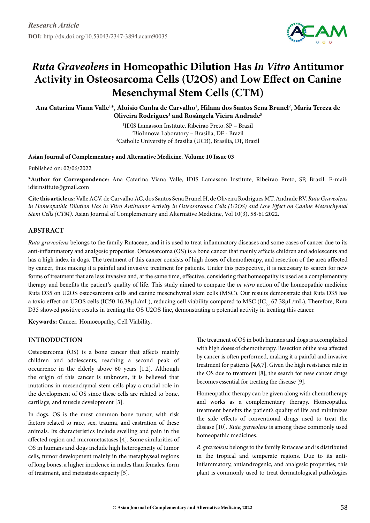

# *Ruta Graveolens* **in Homeopathic Dilution Has** *In Vitro* **Antitumor Activity in Osteosarcoma Cells (U2OS) and Low Effect on Canine Mesenchymal Stem Cells (CTM)**

**Ana Catarina Viana Valle1 \*, Aloísio Cunha de Carvalho1 , Hilana dos Santos Sena Brunel2 , Maria Tereza de Oliveira Rodrigues3 and Rosângela Vieira Andrade3**

> 1 IDIS Lamasson Institute, Ribeirao Preto, SP – Brazil 2 BioInnova Laboratory – Brasilia, DF - Brazil 3 Catholic University of Brasilia (UCB), Brasilia, DF, Brazil

#### **Asian Journal of Complementary and Alternative Medicine. Volume 10 Issue 03**

Published on: 02/06/2022

**\*Author for Correspondence:** Ana Catarina Viana Valle, IDIS Lamasson Institute, Ribeirao Preto, SP, Brazil. E-mail: idisinstitute@gmail.com

**Cite this article as:** Valle ACV, de Carvalho AC, dos Santos Sena Brunel H, de Oliveira Rodrigues MT, Andrade RV. *Ruta Graveolens*  in Homeopathic Dilution Has In Vitro Antitumor Activity in Osteosarcoma Cells (U2OS) and Low Effect on Canine Mesenchymal *Stem Cells (CTM).* Asian Journal of Complementary and Alternative Medicine, Vol 10(3), 58-61:2022.

# **Abstract**

*Ruta graveolens* belongs to the family Rutaceae, and it is used to treat inflammatory diseases and some cases of cancer due to its anti-inflammatory and analgesic properties. Osteosarcoma (OS) is a bone cancer that mainly affects children and adolescents and has a high index in dogs. The treatment of this cancer consists of high doses of chemotherapy, and resection of the area affected by cancer, thus making it a painful and invasive treatment for patients. Under this perspective, it is necessary to search for new forms of treatment that are less invasive and, at the same time, effective, considering that homeopathy is used as a complementary therapy and benefits the patient's quality of life. This study aimed to compare the *in vitro* action of the homeopathic medicine Ruta D35 on U2OS osteosarcoma cells and canine mesenchymal stem cells (MSC). Our results demonstrate that Ruta D35 has a toxic effect on U2OS cells (IC50 16.38µL/mL), reducing cell viability compared to MSC (IC<sub>50</sub> 67.38µL/mL). Therefore, Ruta D35 showed positive results in treating the OS U2OS line, demonstrating a potential activity in treating this cancer.

**Keywords:** Cancer*,* Homoeopathy, Cell Viability.

# **INTRODUCTION**

Osteosarcoma (OS) is a bone cancer that affects mainly children and adolescents, reaching a second peak of occurrence in the elderly above 60 years [1,2]. Although the origin of this cancer is unknown, it is believed that mutations in mesenchymal stem cells play a crucial role in the development of OS since these cells are related to bone, cartilage, and muscle development [3].

In dogs, OS is the most common bone tumor, with risk factors related to race, sex, trauma, and castration of these animals. Its characteristics include swelling and pain in the affected region and micrometastases [4]. Some similarities of OS in humans and dogs include high heterogeneity of tumor cells, tumor development mainly in the metaphyseal regions of long bones, a higher incidence in males than females, form of treatment, and metastasis capacity [5].

The treatment of OS in both humans and dogs is accomplished with high doses of chemotherapy. Resection of the area affected by cancer is often performed, making it a painful and invasive treatment for patients [4,6,7]. Given the high resistance rate in the OS due to treatment [8], the search for new cancer drugs becomes essential for treating the disease [9].

Homeopathic therapy can be given along with chemotherapy and works as a complementary therapy. Homeopathic treatment benefits the patient's quality of life and minimizes the side effects of conventional drugs used to treat the disease [10]. *Ruta graveolens* is among these commonly used homeopathic medicines.

*R. graveolens* belongs to the family Rutaceae and is distributed in the tropical and temperate regions. Due to its antiinflammatory, antiandrogenic, and analgesic properties, this plant is commonly used to treat dermatological pathologies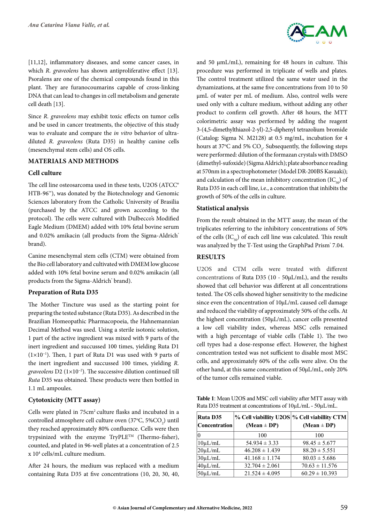[11,12], inflammatory diseases, and some cancer cases, in which *R. graveolens* has shown antiproliferative effect [13]. Psoralens are one of the chemical compounds found in this plant. They are furanocoumarins capable of cross-linking DNA that can lead to changes in cell metabolism and generate cell death [13].

Since *R. graveolens* may exhibit toxic effects on tumor cells and be used in cancer treatments, the objective of this study was to evaluate and compare the *in vitro* behavior of ultradiluted *R. graveolens* (Ruta D35) in healthy canine cells (mesenchymal stem cells) and OS cells.

### **MATERIALS AND METHODS**

### **Cell culture**

The cell line osteosarcoma used in these tests, U2OS (ATCC® HTB-96™), was donated by the Biotechnology and Genomic Sciences laboratory from the Catholic University of Brasilia (purchased by the ATCC and grown according to the protocol). The cells were cultured with Dulbecco's Modified Eagle Medium (DMEM) added with 10% fetal bovine serum and 0.02% amikacin (all products from the Sigma-Aldrich<sup>®</sup> brand).

Canine mesenchymal stem cells (CTM) were obtained from the Bio cell laboratory and cultivated with DMEM low glucose added with 10% fetal bovine serum and 0.02% amikacin (all products from the Sigma-Aldrich<sup>®</sup> brand).

#### **Preparation of Ruta D35**

The Mother Tincture was used as the starting point for preparing the tested substance (Ruta D35). As described in the Brazilian Homeopathic Pharmacopoeia, the Hahnemannian Decimal Method was used. Using a sterile isotonic solution, 1 part of the active ingredient was mixed with 9 parts of the inert ingredient and succussed 100 times, yielding Ruta D1 (1×10−1). Then, 1 part of Ruta D1 was used with 9 parts of the inert ingredient and succussed 100 times, yielding *R. graveolens* D2 (1×10−2). The successive dilution continued till *Ruta* D35 was obtained. These products were then bottled in 1.1 mL ampoules.

### **Cytotoxicity (MTT assay)**

Cells were plated in 75cm<sup>2</sup> culture flasks and incubated in a controlled atmosphere cell culture oven  $(37^{\circ}C, 5\%CO_{_2})$  until they reached approximately 80% confluence. Cells were then trypsinized with the enzyme  $TryPLE^{TM}$  (Thermo-fisher), counted, and plated in 96-well plates at a concentration of 2.5 x 104 cells/mL culture medium.

After 24 hours, the medium was replaced with a medium containing Ruta D35 at five concentrations (10, 20, 30, 40,



and 50  $\mu$ mL/mL), remaining for 48 hours in culture. This procedure was performed in triplicate of wells and plates. The control treatment utilized the same water used in the dynamizations, at the same five concentrations from 10 to 50 µmL of water per mL of medium. Also, control wells were used only with a culture medium, without adding any other product to confirm cell growth. After 48 hours, the MTT colorimetric assay was performed by adding the reagent 3-(4,5-dimethylthiazol-2-yl)-2,5-diphenyl tetrazolium bromide (Catalog: Sigma N. M2128) at 0.5 mg/mL, incubation for 4 hours at 37°C and 5%  $CO_2$ . Subsequently, the following steps were performed: dilution of the formazan crystals with DMSO (dimethyl-sufoxide) (Sigma Aldrich); plate absorbance reading at 570nm in a spectrophotometer (Model DR-200BS Kasuaki); and calculation of the mean inhibitory concentration  $(IC_{\epsilon_0})$  of Ruta D35 in each cell line, i.e., a concentration that inhibits the growth of 50% of the cells in culture.

#### **Statistical analysis**

From the result obtained in the MTT assay, the mean of the triplicates referring to the inhibitory concentrations of 50% of the cells  $(IC_{50})$  of each cell line was calculated. This result was analyzed by the T-Test using the GraphPad Prism<sup>®</sup> 7.04.

# **RESULTS**

U2OS and CTM cells were treated with different concentrations of Ruta D35 (10 - 50µL/mL), and the results showed that cell behavior was different at all concentrations tested. The OS cells showed higher sensitivity to the medicine since even the concentration of  $10 \mu L/mL$  caused cell damage and reduced the viability of approximately 50% of the cells. At the highest concentration (50µL/mL), cancer cells presented a low cell viability index, whereas MSC cells remained with a high percentage of viable cells (Table 1). The two cell types had a dose-response effect. However, the highest concentration tested was not sufficient to disable most MSC cells, and approximately 60% of the cells were alive. On the other hand, at this same concentration of 50µL/mL, only 20% of the tumor cells remained viable.

**Table 1**: Mean U2OS and MSC cell viability after MTT assay with Ruta D35 treatment at concentrations of 10µL/mL - 50µL/mL.

| <b>Ruta D35</b><br><b>Concentration</b> | % Cell viabillity U2OS % Cell viabillity CTM<br>(Mean $\pm$ DP) | $(Mean \pm DP)$    |
|-----------------------------------------|-----------------------------------------------------------------|--------------------|
|                                         | 100                                                             | 100                |
| $10\mu L/mL$                            | $54.934 \pm 3.33$                                               | $98.45 \pm 5.677$  |
| $20 \mu L/mL$                           | $46.208 \pm 1.439$                                              | $88.20 \pm 5.551$  |
| $30\mu L/mL$                            | $41.168 \pm 1.174$                                              | $80.03 \pm 5.686$  |
| $40 \mu L/mL$                           | $32.704 \pm 2.061$                                              | $70.63 \pm 11.576$ |
| $50 \mu L/mL$                           | $21.524 \pm 4.095$                                              | $60.29 \pm 10.393$ |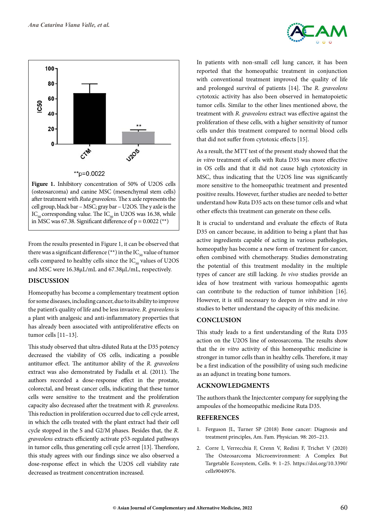



cell group, black bar – MSC; gray bar – U2OS. The y axle is the  $IC_{50}$  corresponding value. The  $IC_{50}$  in U2OS was 16.38, while in MSC was 67.38. Significant difference of  $p = 0.0022$  (\*\*)

From the results presented in Figure 1, it can be observed that there was a significant difference (\*\*) in the  $IC_{50}$  value of tumor cells compared to healthy cells since the  $IC_{50}$  values of U2OS and MSC were 16.38µL/mL and 67.38µL/mL, respectively.

#### **DISCUSSION**

Homeopathy has become a complementary treatment option for some diseases, including cancer, due to its ability to improve the patient's quality of life and be less invasive. *R. graveolens* is a plant with analgesic and anti-inflammatory properties that has already been associated with antiproliferative effects on tumor cells [11–13].

This study observed that ultra-diluted Ruta at the D35 potency decreased the viability of OS cells, indicating a possible antitumor effect. The antitumor ability of the *R. graveolens* extract was also demonstrated by Fadalla et al. (2011). The authors recorded a dose-response effect in the prostate, colorectal, and breast cancer cells, indicating that these tumor cells were sensitive to the treatment and the proliferation capacity also decreased after the treatment with *R. graveolens.* This reduction in proliferation occurred due to cell cycle arrest, in which the cells treated with the plant extract had their cell cycle stopped in the S and G2/M phases. Besides that, the *R. graveolens* extracts efficiently activate p53-regulated pathways in tumor cells, thus generating cell cycle arrest [13]. Therefore, this study agrees with our findings since we also observed a dose-response effect in which the U2OS cell viability rate decreased as treatment concentration increased.

In patients with non-small cell lung cancer, it has been reported that the homeopathic treatment in conjunction with conventional treatment improved the quality of life and prolonged survival of patients [14]. The *R. graveolens* cytotoxic activity has also been observed in hematopoietic tumor cells. Similar to the other lines mentioned above, the treatment with *R. graveolens* extract was effective against the proliferation of these cells, with a higher sensitivity of tumor cells under this treatment compared to normal blood cells that did not suffer from cytotoxic effects [15].

As a result, the MTT test of the present study showed that the *in vitro* treatment of cells with Ruta D35 was more effective in OS cells and that it did not cause high cytotoxicity in MSC, thus indicating that the U2OS line was significantly more sensitive to the homeopathic treatment and presented positive results. However, further studies are needed to better understand how Ruta D35 acts on these tumor cells and what other effects this treatment can generate on these cells.

It is crucial to understand and evaluate the effects of Ruta D35 on cancer because, in addition to being a plant that has active ingredients capable of acting in various pathologies, homeopathy has become a new form of treatment for cancer, often combined with chemotherapy. Studies demonstrating the potential of this treatment modality in the multiple types of cancer are still lacking. *In vivo* studies provide an idea of how treatment with various homeopathic agents can contribute to the reduction of tumor inhibition [16]. However, it is still necessary to deepen *in vitro* and *in vivo* studies to better understand the capacity of this medicine.

#### **CONCLUSION**

This study leads to a first understanding of the Ruta D35 action on the U2OS line of osteosarcoma. The results show that the *in vitro* activity of this homeopathic medicine is stronger in tumor cells than in healthy cells. Therefore, it may be a first indication of the possibility of using such medicine as an adjunct in treating bone tumors.

# **ACKNOWLEDGMENTS**

The authors thank the Injectcenter company for supplying the ampoules of the homeopathic medicine Ruta D35.

### **References**

- 1. Ferguson JL, Turner SP (2018) Bone cancer: Diagnosis and treatment principles, Am. Fam. Physician. 98: 205–213.
- 2. Corre I, Verrecchia F, Crenn V, Redini F, Trichet V (2020) The Osteosarcoma Microenvironment: A Complex But Targetable Ecosystem, Cells. 9: 1–25. https://doi.org/10.3390/ cells9040976.